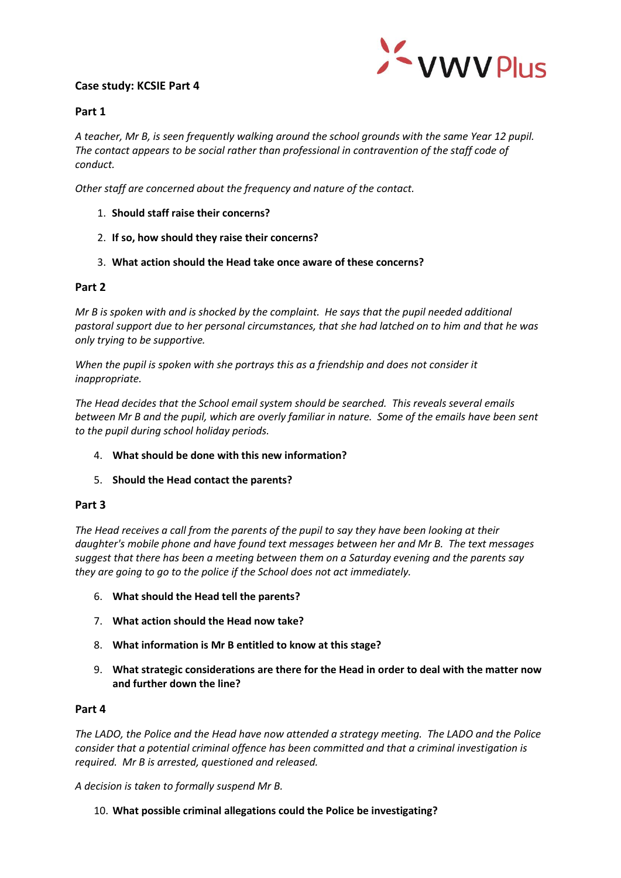# **Case study: KCSIE Part 4**



### **Part 1**

*A teacher, Mr B, is seen frequently walking around the school grounds with the same Year 12 pupil. The contact appears to be social rather than professional in contravention of the staff code of conduct.*

*Other staff are concerned about the frequency and nature of the contact.*

- 1. **Should staff raise their concerns?**
- 2. **If so, how should they raise their concerns?**
- 3. **What action should the Head take once aware of these concerns?**

### **Part 2**

*Mr B is spoken with and is shocked by the complaint. He says that the pupil needed additional pastoral support due to her personal circumstances, that she had latched on to him and that he was only trying to be supportive.*

*When the pupil is spoken with she portrays this as a friendship and does not consider it inappropriate.* 

*The Head decides that the School email system should be searched. This reveals several emails between Mr B and the pupil, which are overly familiar in nature. Some of the emails have been sent to the pupil during school holiday periods.*

### 4. **What should be done with this new information?**

## 5. **Should the Head contact the parents?**

### **Part 3**

*The Head receives a call from the parents of the pupil to say they have been looking at their daughter's mobile phone and have found text messages between her and Mr B. The text messages suggest that there has been a meeting between them on a Saturday evening and the parents say they are going to go to the police if the School does not act immediately.*

- 6. **What should the Head tell the parents?**
- 7. **What action should the Head now take?**
- 8. **What information is Mr B entitled to know at this stage?**
- 9. **What strategic considerations are there for the Head in order to deal with the matter now and further down the line?**

### **Part 4**

*The LADO, the Police and the Head have now attended a strategy meeting. The LADO and the Police consider that a potential criminal offence has been committed and that a criminal investigation is required. Mr B is arrested, questioned and released.*

*A decision is taken to formally suspend Mr B.*

### 10. **What possible criminal allegations could the Police be investigating?**